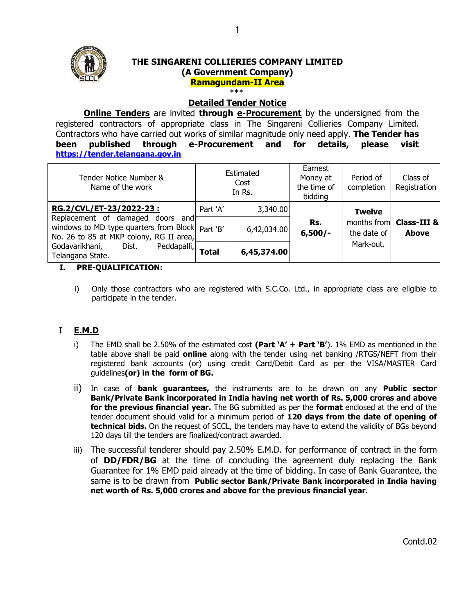

#### **THE SINGARENI COLLIERIES COMPANY LIMITED (A Government Company) Ramagundam-II Area**

\*\*\*

# **Detailed Tender Notice**

**Online Tenders** are invited **through e-Procurement** by the undersigned from the registered contractors of appropriate class in The Singareni Collieries Company Limited. Contractors who have carried out works of similar magnitude only need apply. **The Tender has been published through e-Procurement and for details, please visit [https://tender.telangana.gov.in](https://tender.telengana.gov.in/)**

| Tender Notice Number &<br>Name of the work                                                                                |              | Estimated<br>Cost<br>In Rs. | Earnest<br>Money at<br>the time of<br>bidding | Period of<br>completion    | Class of<br>Registration               |
|---------------------------------------------------------------------------------------------------------------------------|--------------|-----------------------------|-----------------------------------------------|----------------------------|----------------------------------------|
| RG.2/CVL/ET-23/2022-23:                                                                                                   | Part `A'     | 3,340.00                    |                                               | <b>Twelve</b>              |                                        |
| Replacement of damaged doors<br>andl<br>windows to MD type quarters from Block<br>No. 26 to 85 at MKP colony, RG II area, | Part 'B'     | 6,42,034.00                 | Rs.<br>$6,500/-$                              | months from<br>the date of | <b>Class-III &amp;</b><br><b>Above</b> |
| Godavarikhani,<br>Peddapalli,<br>Dist.<br>Telangana State.                                                                | <b>Total</b> | 6,45,374.00                 |                                               | Mark-out.                  |                                        |

# **I. PRE-QUALIFICATION:**

i) Only those contractors who are registered with S.C.Co. Ltd., in appropriate class are eligible to participate in the tender.

# I **E.M.D**

- i) The EMD shall be 2.50% of the estimated cost **(Part 'A' + Part 'B'**). 1% EMD as mentioned in the table above shall be paid **online** along with the tender using net banking /RTGS/NEFT from their registered bank accounts (or) using credit Card/Debit Card as per the VISA/MASTER Card guidelines**(or) in the form of BG.**
- ii) In case of **bank guarantees,** the instruments are to be drawn on any **Public sector Bank/Private Bank incorporated in India having net worth of Rs. 5,000 crores and above for the previous financial year.** The BG submitted as per the **format** enclosed at the end of the tender document should valid for a minimum period of **120 days from the date of opening of technical bids.** On the request of SCCL, the tenders may have to extend the validity of BGs beyond 120 days till the tenders are finalized/contract awarded.
- iii) The successful tenderer should pay 2.50% E.M.D. for performance of contract in the form of **DD/FDR/BG** at the time of concluding the agreement duly replacing the Bank Guarantee for 1% EMD paid already at the time of bidding. In case of Bank Guarantee, the same is to be drawn from **Public sector Bank/Private Bank incorporated in India having net worth of Rs. 5,000 crores and above for the previous financial year.**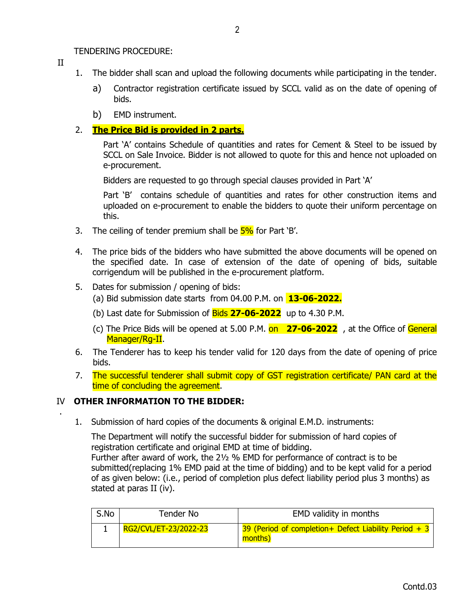# TENDERING PROCEDURE:

II

.

- 1. The bidder shall scan and upload the following documents while participating in the tender.
	- a) Contractor registration certificate issued by SCCL valid as on the date of opening of bids.
	- b) EMD instrument.

# 2. **The Price Bid is provided in 2 parts.**

Part 'A' contains Schedule of quantities and rates for Cement & Steel to be issued by SCCL on Sale Invoice. Bidder is not allowed to quote for this and hence not uploaded on e-procurement.

Bidders are requested to go through special clauses provided in Part 'A'

Part 'B' contains schedule of quantities and rates for other construction items and uploaded on e-procurement to enable the bidders to quote their uniform percentage on this.

- 3. The ceiling of tender premium shall be  $5\%$  for Part 'B'.
- 4. The price bids of the bidders who have submitted the above documents will be opened on the specified date. In case of extension of the date of opening of bids, suitable corrigendum will be published in the e-procurement platform.
- 5. Dates for submission / opening of bids:
	- (a) Bid submission date starts from 04.00 P.M. on **13-06-2022.**
	- (b) Last date for Submission of Bids **27-06-2022** up to 4.30 P.M.
	- (c) The Price Bids will be opened at 5.00 P.M. on **27-06-2022** , at the Office of General Manager/Rg-II.
- 6. The Tenderer has to keep his tender valid for 120 days from the date of opening of price bids.
- 7. The successful tenderer shall submit copy of GST registration certificate/ PAN card at the time of concluding the agreement.

# IV **OTHER INFORMATION TO THE BIDDER:**

1. Submission of hard copies of the documents & original E.M.D. instruments:

The Department will notify the successful bidder for submission of hard copies of registration certificate and original EMD at time of bidding.

Further after award of work, the 2½ % EMD for performance of contract is to be submitted(replacing 1% EMD paid at the time of bidding) and to be kept valid for a period of as given below: (i.e., period of completion plus defect liability period plus 3 months) as stated at paras II (iv).

| S.No | Tender No             | EMD validity in months                                            |
|------|-----------------------|-------------------------------------------------------------------|
|      | RG2/CVL/ET-23/2022-23 | 39 (Period of completion + Defect Liability Period + 3<br>months) |